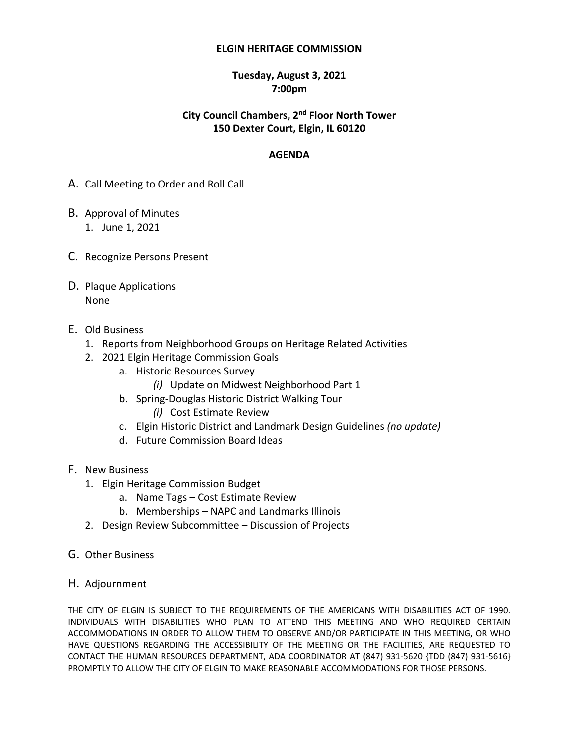#### **ELGIN HERITAGE COMMISSION**

#### **Tuesday, August 3, 2021 7:00pm**

# **City Council Chambers, 2 nd Floor North Tower 150 Dexter Court, Elgin, IL 60120**

#### **AGENDA**

- A. Call Meeting to Order and Roll Call
- B. Approval of Minutes 1. June 1, 2021
- C. Recognize Persons Present
- D. Plaque Applications None
- E. Old Business
	- 1. Reports from Neighborhood Groups on Heritage Related Activities
	- 2. 2021 Elgin Heritage Commission Goals
		- a. Historic Resources Survey
			- *(i)* Update on Midwest Neighborhood Part 1
		- b. Spring-Douglas Historic District Walking Tour
			- *(i)* Cost Estimate Review
		- c. Elgin Historic District and Landmark Design Guidelines *(no update)*
		- d. Future Commission Board Ideas
- F. New Business
	- 1. Elgin Heritage Commission Budget
		- a. Name Tags Cost Estimate Review
		- b. Memberships NAPC and Landmarks Illinois
	- 2. Design Review Subcommittee Discussion of Projects
- G. Other Business
- H. Adjournment

THE CITY OF ELGIN IS SUBJECT TO THE REQUIREMENTS OF THE AMERICANS WITH DISABILITIES ACT OF 1990. INDIVIDUALS WITH DISABILITIES WHO PLAN TO ATTEND THIS MEETING AND WHO REQUIRED CERTAIN ACCOMMODATIONS IN ORDER TO ALLOW THEM TO OBSERVE AND/OR PARTICIPATE IN THIS MEETING, OR WHO HAVE QUESTIONS REGARDING THE ACCESSIBILITY OF THE MEETING OR THE FACILITIES, ARE REQUESTED TO CONTACT THE HUMAN RESOURCES DEPARTMENT, ADA COORDINATOR AT (847) 931-5620 {TDD (847) 931-5616} PROMPTLY TO ALLOW THE CITY OF ELGIN TO MAKE REASONABLE ACCOMMODATIONS FOR THOSE PERSONS.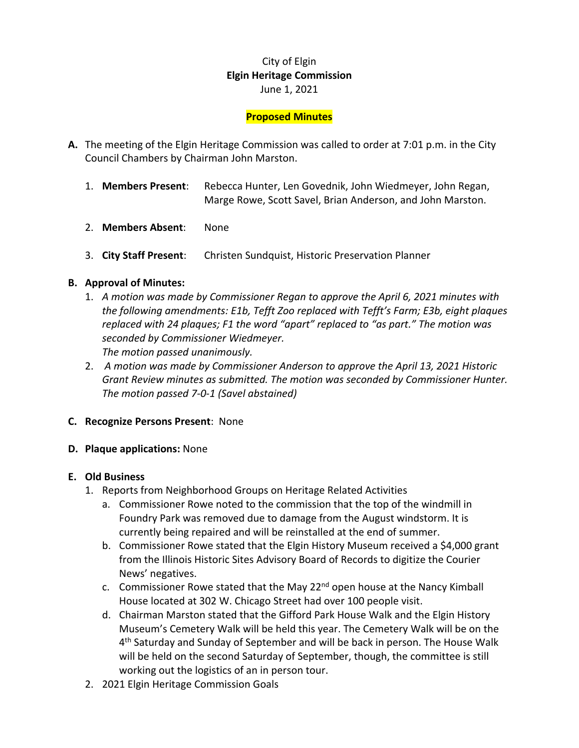# City of Elgin **Elgin Heritage Commission** June 1, 2021

## **Proposed Minutes**

- **A.** The meeting of the Elgin Heritage Commission was called to order at 7:01 p.m. in the City Council Chambers by Chairman John Marston.
	- 1. **Members Present**: Rebecca Hunter, Len Govednik, John Wiedmeyer, John Regan, Marge Rowe, Scott Savel, Brian Anderson, and John Marston.
	- 2. **Members Absent**: None
	- 3. **City Staff Present**: Christen Sundquist, Historic Preservation Planner

#### **B. Approval of Minutes:**

- 1. *A motion was made by Commissioner Regan to approve the April 6, 2021 minutes with the following amendments: E1b, Tefft Zoo replaced with Tefft's Farm; E3b, eight plaques replaced with 24 plaques; F1 the word "apart" replaced to "as part." The motion was seconded by Commissioner Wiedmeyer. The motion passed unanimously.*
- 2. *A motion was made by Commissioner Anderson to approve the April 13, 2021 Historic Grant Review minutes as submitted. The motion was seconded by Commissioner Hunter. The motion passed 7-0-1 (Savel abstained)*
- **C. Recognize Persons Present**: None
- **D. Plaque applications:** None

#### **E. Old Business**

- 1. Reports from Neighborhood Groups on Heritage Related Activities
	- a. Commissioner Rowe noted to the commission that the top of the windmill in Foundry Park was removed due to damage from the August windstorm. It is currently being repaired and will be reinstalled at the end of summer.
	- b. Commissioner Rowe stated that the Elgin History Museum received a \$4,000 grant from the Illinois Historic Sites Advisory Board of Records to digitize the Courier News' negatives.
	- c. Commissioner Rowe stated that the May  $22^{nd}$  open house at the Nancy Kimball House located at 302 W. Chicago Street had over 100 people visit.
	- d. Chairman Marston stated that the Gifford Park House Walk and the Elgin History Museum's Cemetery Walk will be held this year. The Cemetery Walk will be on the 4<sup>th</sup> Saturday and Sunday of September and will be back in person. The House Walk will be held on the second Saturday of September, though, the committee is still working out the logistics of an in person tour.
- 2. 2021 Elgin Heritage Commission Goals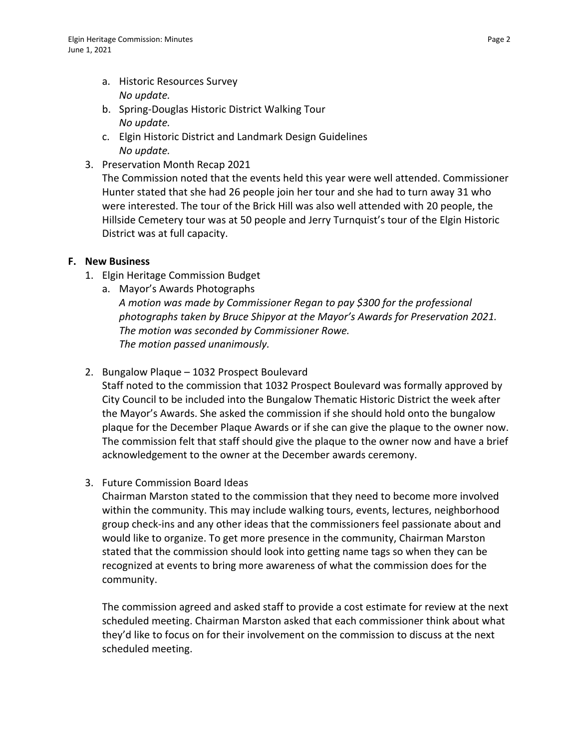- a. Historic Resources Survey *No update.*
- b. Spring-Douglas Historic District Walking Tour *No update.*
- c. Elgin Historic District and Landmark Design Guidelines *No update.*
- 3. Preservation Month Recap 2021

The Commission noted that the events held this year were well attended. Commissioner Hunter stated that she had 26 people join her tour and she had to turn away 31 who were interested. The tour of the Brick Hill was also well attended with 20 people, the Hillside Cemetery tour was at 50 people and Jerry Turnquist's tour of the Elgin Historic District was at full capacity.

# **F. New Business**

- 1. Elgin Heritage Commission Budget
	- a. Mayor's Awards Photographs *A motion was made by Commissioner Regan to pay \$300 for the professional photographs taken by Bruce Shipyor at the Mayor's Awards for Preservation 2021. The motion was seconded by Commissioner Rowe. The motion passed unanimously.*
- 2. Bungalow Plaque 1032 Prospect Boulevard

Staff noted to the commission that 1032 Prospect Boulevard was formally approved by City Council to be included into the Bungalow Thematic Historic District the week after the Mayor's Awards. She asked the commission if she should hold onto the bungalow plaque for the December Plaque Awards or if she can give the plaque to the owner now. The commission felt that staff should give the plaque to the owner now and have a brief acknowledgement to the owner at the December awards ceremony.

3. Future Commission Board Ideas

Chairman Marston stated to the commission that they need to become more involved within the community. This may include walking tours, events, lectures, neighborhood group check-ins and any other ideas that the commissioners feel passionate about and would like to organize. To get more presence in the community, Chairman Marston stated that the commission should look into getting name tags so when they can be recognized at events to bring more awareness of what the commission does for the community.

The commission agreed and asked staff to provide a cost estimate for review at the next scheduled meeting. Chairman Marston asked that each commissioner think about what they'd like to focus on for their involvement on the commission to discuss at the next scheduled meeting.